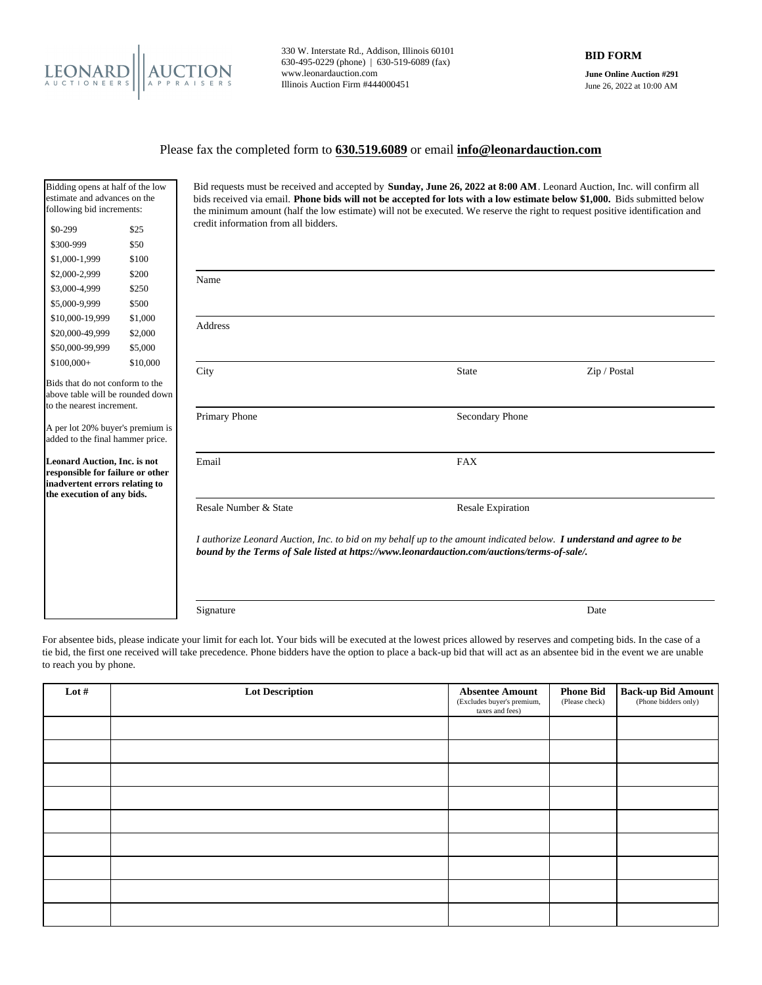

330 W. Interstate Rd., Addison, Illinois 60101 630-495-0229 (phone) | 630-519-6089 (fax) www.leonardauction.com Illinois Auction Firm #444000451

**June Online Auction #291** June 26, 2022 at 10:00 AM

## Please fax the completed form to **630.519.6089** or email **info@leonardauction.com**

| Bidding opens at half of the low<br>estimate and advances on the<br>following bid increments:                                    |          | Bid requests must be received and accepted by <b>Sunday, June 26, 2022 at 8:00 AM</b> . Leonard Auction, Inc. will confirm all<br>bids received via email. Phone bids will not be accepted for lots with a low estimate below \$1,000. Bids submitted below<br>the minimum amount (half the low estimate) will not be executed. We reserve the right to request positive identification and |                          |              |  |
|----------------------------------------------------------------------------------------------------------------------------------|----------|---------------------------------------------------------------------------------------------------------------------------------------------------------------------------------------------------------------------------------------------------------------------------------------------------------------------------------------------------------------------------------------------|--------------------------|--------------|--|
| \$0-299                                                                                                                          | \$25     | credit information from all bidders.                                                                                                                                                                                                                                                                                                                                                        |                          |              |  |
| \$300-999                                                                                                                        | \$50     |                                                                                                                                                                                                                                                                                                                                                                                             |                          |              |  |
| \$1,000-1,999                                                                                                                    | \$100    |                                                                                                                                                                                                                                                                                                                                                                                             |                          |              |  |
| \$2,000-2,999                                                                                                                    | \$200    | Name                                                                                                                                                                                                                                                                                                                                                                                        |                          |              |  |
| \$3,000-4,999                                                                                                                    | \$250    |                                                                                                                                                                                                                                                                                                                                                                                             |                          |              |  |
| \$5,000-9,999                                                                                                                    | \$500    |                                                                                                                                                                                                                                                                                                                                                                                             |                          |              |  |
| \$10,000-19,999                                                                                                                  | \$1,000  |                                                                                                                                                                                                                                                                                                                                                                                             |                          |              |  |
| \$20,000-49,999                                                                                                                  | \$2,000  | Address                                                                                                                                                                                                                                                                                                                                                                                     |                          |              |  |
| \$50,000-99,999                                                                                                                  | \$5,000  |                                                                                                                                                                                                                                                                                                                                                                                             |                          |              |  |
| $$100,000+$                                                                                                                      | \$10,000 | City                                                                                                                                                                                                                                                                                                                                                                                        | <b>State</b>             | Zip / Postal |  |
| Bids that do not conform to the<br>above table will be rounded down<br>to the nearest increment.                                 |          |                                                                                                                                                                                                                                                                                                                                                                                             |                          |              |  |
| A per lot 20% buyer's premium is<br>added to the final hammer price.                                                             |          | Primary Phone                                                                                                                                                                                                                                                                                                                                                                               | Secondary Phone          |              |  |
| Leonard Auction, Inc. is not<br>responsible for failure or other<br>inadvertent errors relating to<br>the execution of any bids. |          | Email                                                                                                                                                                                                                                                                                                                                                                                       | <b>FAX</b>               |              |  |
|                                                                                                                                  |          | Resale Number & State                                                                                                                                                                                                                                                                                                                                                                       | <b>Resale Expiration</b> |              |  |
|                                                                                                                                  |          | I authorize Leonard Auction, Inc. to bid on my behalf up to the amount indicated below. I understand and agree to be<br>bound by the Terms of Sale listed at https://www.leonardauction.com/auctions/terms-of-sale/.                                                                                                                                                                        |                          |              |  |
|                                                                                                                                  |          | Signature                                                                                                                                                                                                                                                                                                                                                                                   |                          | Date         |  |

For absentee bids, please indicate your limit for each lot. Your bids will be executed at the lowest prices allowed by reserves and competing bids. In the case of a tie bid, the first one received will take precedence. Phone bidders have the option to place a back-up bid that will act as an absentee bid in the event we are unable to reach you by phone.

| Lot $#$ | <b>Lot Description</b> | <b>Absentee Amount</b><br>(Excludes buyer's premium,<br>taxes and fees) | <b>Phone Bid</b><br>(Please check) | <b>Back-up Bid Amount</b> |
|---------|------------------------|-------------------------------------------------------------------------|------------------------------------|---------------------------|
|         |                        |                                                                         |                                    |                           |
|         |                        |                                                                         |                                    |                           |
|         |                        |                                                                         |                                    |                           |
|         |                        |                                                                         |                                    |                           |
|         |                        |                                                                         |                                    |                           |
|         |                        |                                                                         |                                    |                           |
|         |                        |                                                                         |                                    |                           |
|         |                        |                                                                         |                                    |                           |
|         |                        |                                                                         |                                    |                           |